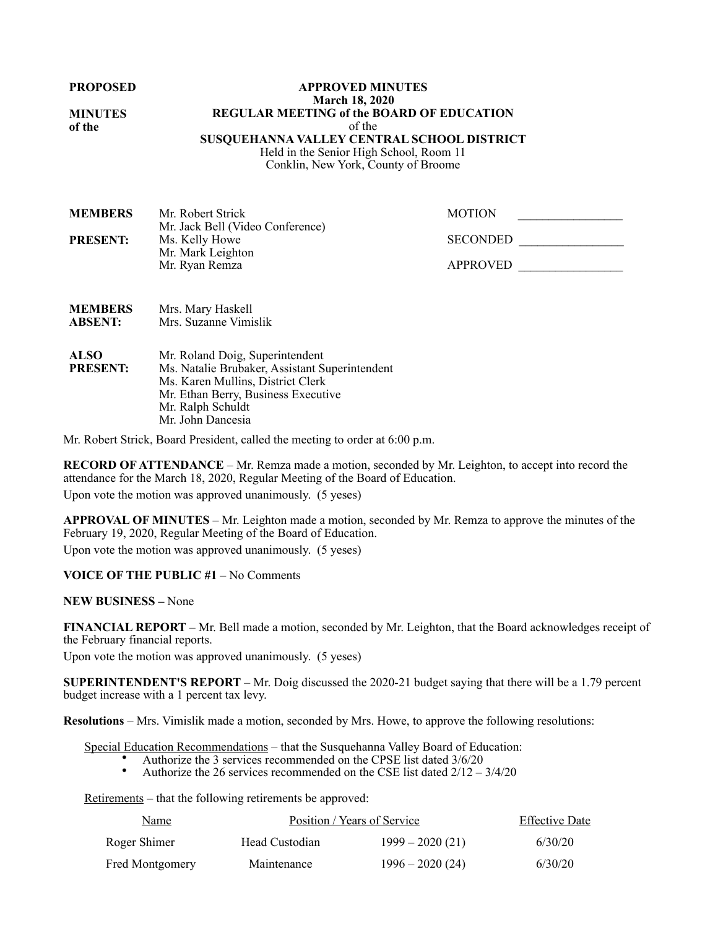**PROPOSED** 

**MINUTES of the**

### **APPROVED MINUTES March 18, 2020 REGULAR MEETING of the BOARD OF EDUCATION**  of the **SUSQUEHANNA VALLEY CENTRAL SCHOOL DISTRICT**  Held in the Senior High School, Room 11

Conklin, New York, County of Broome

| <b>MEMBERS</b>  | Mr. Robert Strick                | <b>MOTION</b>   |
|-----------------|----------------------------------|-----------------|
|                 | Mr. Jack Bell (Video Conference) |                 |
| <b>PRESENT:</b> | Ms. Kelly Howe                   | <b>SECONDED</b> |
|                 | Mr. Mark Leighton                |                 |
|                 | Mr. Ryan Remza                   | <b>APPROVED</b> |
|                 |                                  |                 |

| <b>MEMBERS</b> | Mrs. Mary Haskell     |
|----------------|-----------------------|
| <b>ABSENT:</b> | Mrs. Suzanne Vimislik |
|                |                       |

**ALSO PRESENT:** Mr. Roland Doig, Superintendent Ms. Natalie Brubaker, Assistant Superintendent Ms. Karen Mullins, District Clerk Mr. Ethan Berry, Business Executive Mr. Ralph Schuldt Mr. John Dancesia

Mr. Robert Strick, Board President, called the meeting to order at 6:00 p.m.

**RECORD OF ATTENDANCE** – Mr. Remza made a motion, seconded by Mr. Leighton, to accept into record the attendance for the March 18, 2020, Regular Meeting of the Board of Education. Upon vote the motion was approved unanimously. (5 yeses)

**APPROVAL OF MINUTES** – Mr. Leighton made a motion, seconded by Mr. Remza to approve the minutes of the February 19, 2020, Regular Meeting of the Board of Education.

Upon vote the motion was approved unanimously. (5 yeses)

## **VOICE OF THE PUBLIC #1** – No Comments

**NEW BUSINESS –** None

**FINANCIAL REPORT** – Mr. Bell made a motion, seconded by Mr. Leighton, that the Board acknowledges receipt of the February financial reports.

Upon vote the motion was approved unanimously. (5 yeses)

**SUPERINTENDENT'S REPORT** – Mr. Doig discussed the 2020-21 budget saying that there will be a 1.79 percent budget increase with a 1 percent tax levy.

**Resolutions** – Mrs. Vimislik made a motion, seconded by Mrs. Howe, to approve the following resolutions:

Special Education Recommendations – that the Susquehanna Valley Board of Education:

- Authorize the 3 services recommended on the CPSE list dated  $3/6/20$ <br>• Authorize the 26 services recommended on the CSE list dated  $2/12$
- Authorize the 26 services recommended on the CSE list dated  $2/12 3/4/20$

Retirements – that the following retirements be approved:

| Name            |                | Position / Years of Service | <b>Effective Date</b> |
|-----------------|----------------|-----------------------------|-----------------------|
| Roger Shimer    | Head Custodian | $1999 - 2020(21)$           | 6/30/20               |
| Fred Montgomery | Maintenance    | $1996 - 2020(24)$           | 6/30/20               |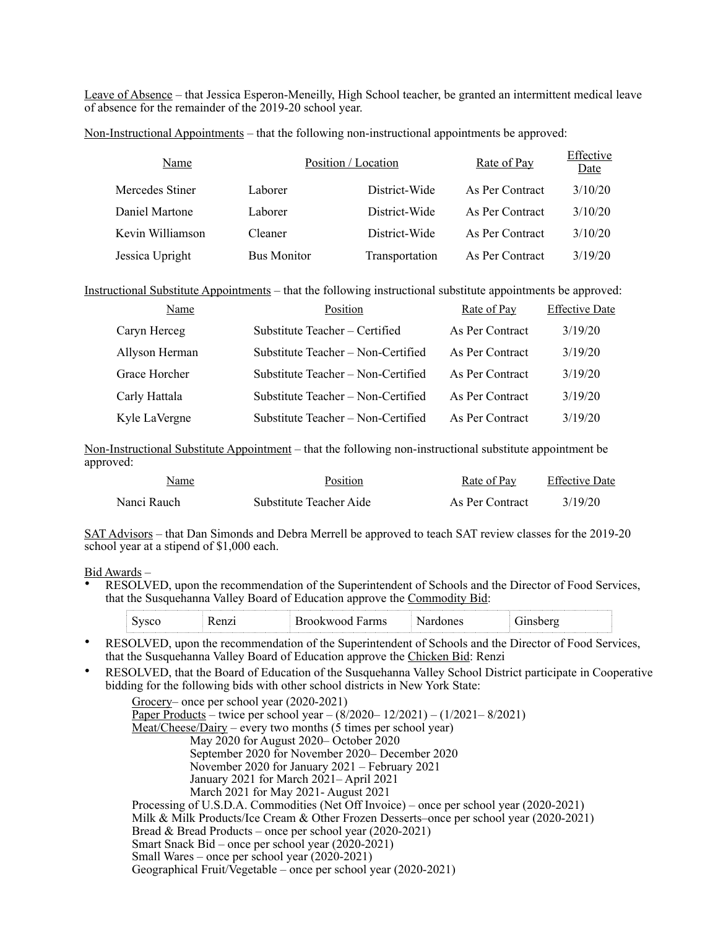Leave of Absence – that Jessica Esperon-Meneilly, High School teacher, be granted an intermittent medical leave of absence for the remainder of the 2019-20 school year.

Non-Instructional Appointments – that the following non-instructional appointments be approved:

| Name             | Position / Location |                | Rate of Pay     | Effective<br>Date |
|------------------|---------------------|----------------|-----------------|-------------------|
| Mercedes Stiner  | Laborer             | District-Wide  | As Per Contract | 3/10/20           |
| Daniel Martone   | Laborer             | District-Wide  | As Per Contract | 3/10/20           |
| Kevin Williamson | Cleaner             | District-Wide  | As Per Contract | 3/10/20           |
| Jessica Upright  | <b>Bus Monitor</b>  | Transportation | As Per Contract | 3/19/20           |

Instructional Substitute Appointments – that the following instructional substitute appointments be approved:

| Name           | Position                           | Rate of Pay     | <b>Effective Date</b> |
|----------------|------------------------------------|-----------------|-----------------------|
| Caryn Herceg   | Substitute Teacher – Certified     | As Per Contract | 3/19/20               |
| Allyson Herman | Substitute Teacher – Non-Certified | As Per Contract | 3/19/20               |
| Grace Horcher  | Substitute Teacher – Non-Certified | As Per Contract | 3/19/20               |
| Carly Hattala  | Substitute Teacher – Non-Certified | As Per Contract | 3/19/20               |
| Kyle LaVergne  | Substitute Teacher – Non-Certified | As Per Contract | 3/19/20               |

Non-Instructional Substitute Appointment – that the following non-instructional substitute appointment be approved:

| Name        | Position                | Rate of Pay     | <b>Effective Date</b> |
|-------------|-------------------------|-----------------|-----------------------|
| Nanci Rauch | Substitute Teacher Aide | As Per Contract | 3/19/20               |

SAT Advisors – that Dan Simonds and Debra Merrell be approved to teach SAT review classes for the 2019-20 school year at a stipend of \$1,000 each.

#### Bid Awards –

• RESOLVED, upon the recommendation of the Superintendent of Schools and the Director of Food Services, that the Susquehanna Valley Board of Education approve the Commodity Bid:

|                         | - ---- - -<br>LIIIS<br>M | ----<br>116. |
|-------------------------|--------------------------|--------------|
| <b><i>BARRASSER</i></b> |                          |              |

- RESOLVED, upon the recommendation of the Superintendent of Schools and the Director of Food Services, that the Susquehanna Valley Board of Education approve the Chicken Bid: Renzi
- RESOLVED, that the Board of Education of the Susquehanna Valley School District participate in Cooperative bidding for the following bids with other school districts in New York State:

| Grocery– once per school year (2020-2021)                                                 |
|-------------------------------------------------------------------------------------------|
| Paper Products – twice per school year – $(8/2020 - 12/2021) - (1/2021 - 8/2021)$         |
| $Meat/Checkes/Dairy – every two months (5 times per school year)$                         |
| May 2020 for August 2020– October 2020                                                    |
| September 2020 for November 2020– December 2020                                           |
| November 2020 for January $2021$ – February 2021                                          |
| January 2021 for March 2021-April 2021                                                    |
| March 2021 for May 2021 - August 2021                                                     |
| Processing of U.S.D.A. Commodities (Net Off Invoice) – once per school year (2020-2021)   |
| Milk & Milk Products/Ice Cream & Other Frozen Desserts–once per school year $(2020-2021)$ |
| Bread & Bread Products – once per school year $(2020-2021)$                               |
| Smart Snack Bid – once per school year (2020-2021)                                        |
| Small Wares – once per school year $(2020-2021)$                                          |
| Geographical Fruit/Vegetable – once per school year (2020-2021)                           |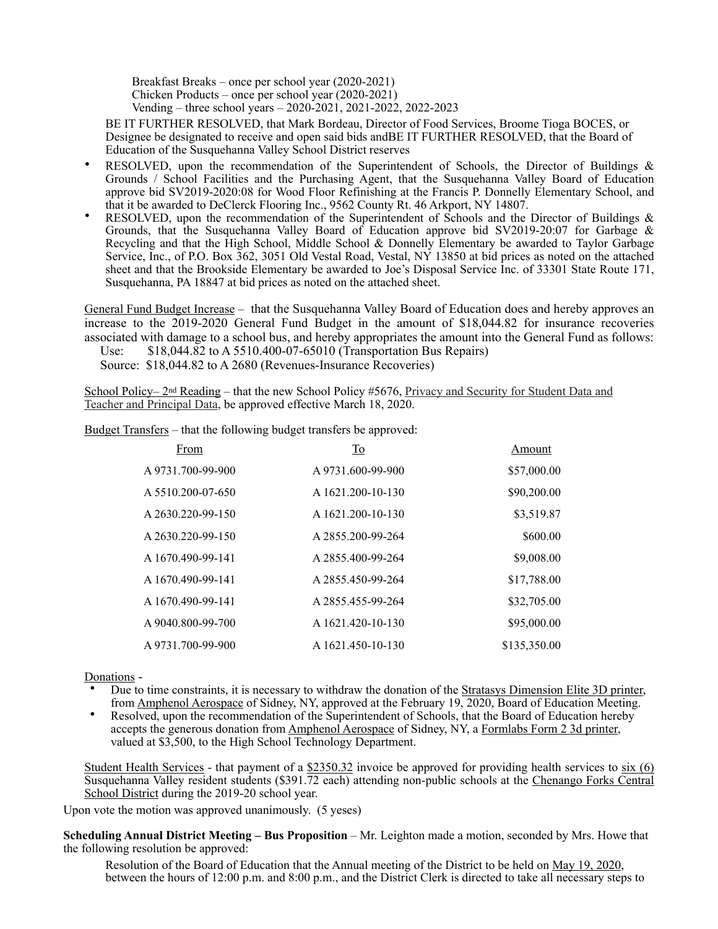Breakfast Breaks – once per school year (2020-2021) Chicken Products – once per school year (2020-2021) Vending – three school years – 2020-2021, 2021-2022, 2022-2023

BE IT FURTHER RESOLVED, that Mark Bordeau, Director of Food Services, Broome Tioga BOCES, or Designee be designated to receive and open said bids andBE IT FURTHER RESOLVED, that the Board of Education of the Susquehanna Valley School District reserves

- RESOLVED, upon the recommendation of the Superintendent of Schools, the Director of Buildings  $\&$ Grounds / School Facilities and the Purchasing Agent, that the Susquehanna Valley Board of Education approve bid SV2019-2020:08 for Wood Floor Refinishing at the Francis P. Donnelly Elementary School, and that it be awarded to DeClerck Flooring Inc., 9562 County Rt. 46 Arkport, NY 14807.
- RESOLVED, upon the recommendation of the Superintendent of Schools and the Director of Buildings  $\&$ Grounds, that the Susquehanna Valley Board of Education approve bid SV2019-20:07 for Garbage & Recycling and that the High School, Middle School & Donnelly Elementary be awarded to Taylor Garbage Service, Inc., of P.O. Box 362, 3051 Old Vestal Road, Vestal, NY 13850 at bid prices as noted on the attached sheet and that the Brookside Elementary be awarded to Joe's Disposal Service Inc. of 33301 State Route 171, Susquehanna, PA 18847 at bid prices as noted on the attached sheet.

General Fund Budget Increase – that the Susquehanna Valley Board of Education does and hereby approves an increase to the 2019-2020 General Fund Budget in the amount of \$18,044.82 for insurance recoveries associated with damage to a school bus, and hereby appropriates the amount into the General Fund as follows:

Use: \$18,044.82 to A 5510.400-07-65010 (Transportation Bus Repairs)

Source: \$18,044.82 to A 2680 (Revenues-Insurance Recoveries)

School Policy– 2<sup>nd</sup> Reading – that the new School Policy #5676, Privacy and Security for Student Data and Teacher and Principal Data, be approved effective March 18, 2020.

Budget Transfers – that the following budget transfers be approved:

| From              | $\underline{\mathrm{To}}$ | Amount       |
|-------------------|---------------------------|--------------|
| A 9731.700-99-900 | A 9731.600-99-900         | \$57,000.00  |
| A 5510.200-07-650 | A 1621.200-10-130         | \$90,200.00  |
| A 2630.220-99-150 | A 1621.200-10-130         | \$3,519.87   |
| A 2630.220-99-150 | A 2855.200-99-264         | \$600.00     |
| A 1670.490-99-141 | A 2855.400-99-264         | \$9,008.00   |
| A 1670.490-99-141 | A 2855.450-99-264         | \$17,788.00  |
| A 1670.490-99-141 | A 2855.455-99-264         | \$32,705.00  |
| A 9040.800-99-700 | A 1621.420-10-130         | \$95,000.00  |
| A 9731.700-99-900 | A 1621.450-10-130         | \$135,350.00 |

Donations -

- Due to time constraints, it is necessary to withdraw the donation of the Stratasys Dimension Elite 3D printer, from Amphenol Aerospace of Sidney, NY, approved at the February 19, 2020, Board of Education Meeting.
- Resolved, upon the recommendation of the Superintendent of Schools, that the Board of Education hereby accepts the generous donation from Amphenol Aerospace of Sidney, NY, a Formlabs Form 2 3d printer, valued at \$3,500, to the High School Technology Department.

Student Health Services - that payment of a \$2350.32 invoice be approved for providing health services to six (6) Susquehanna Valley resident students (\$391.72 each) attending non-public schools at the Chenango Forks Central School District during the 2019-20 school year.

Upon vote the motion was approved unanimously. (5 yeses)

**Scheduling Annual District Meeting – Bus Proposition** – Mr. Leighton made a motion, seconded by Mrs. Howe that the following resolution be approved:

Resolution of the Board of Education that the Annual meeting of the District to be held on May 19, 2020, between the hours of 12:00 p.m. and 8:00 p.m., and the District Clerk is directed to take all necessary steps to